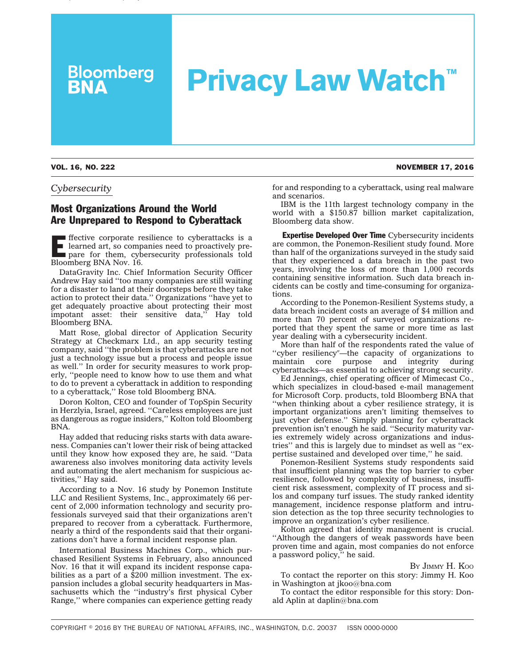## **Privacy Law Watch™**

VOL. 16, NO. 222 NOVEMBER 17, 2016

**Bloomberg**<br>**BNA** 

*Cybersecurity*

## Most Organizations Around the World Are Unprepared to Respond to Cyberattack

**Effective corporate resilience to cyberattacks is a** learned art, so companies need to proactively prepare for them, cybersecurity professionals told learned art, so companies need to proactively prepare for them, cybersecurity professionals told Bloomberg BNA Nov. 16.

DataGravity Inc. Chief Information Security Officer Andrew Hay said ''too many companies are still waiting for a disaster to land at their doorsteps before they take action to protect their data.'' Organizations ''have yet to get adequately proactive about protecting their most impotant asset: their sensitive data,'' Hay told Bloomberg BNA.

Matt Rose, global director of Application Security Strategy at Checkmarx Ltd., an app security testing company, said ''the problem is that cyberattacks are not just a technology issue but a process and people issue as well.'' In order for security measures to work properly, ''people need to know how to use them and what to do to prevent a cyberattack in addition to responding to a cyberattack,'' Rose told Bloomberg BNA.

Doron Kolton, CEO and founder of TopSpin Security in Herzlyia, Israel, agreed. ''Careless employees are just as dangerous as rogue insiders,'' Kolton told Bloomberg BNA.

Hay added that reducing risks starts with data awareness. Companies can't lower their risk of being attacked until they know how exposed they are, he said. ''Data awareness also involves monitoring data activity levels and automating the alert mechanism for suspicious activities,'' Hay said.

According to a Nov. 16 [study]( http://info.resilientsystems.com/ponemon-institute-study-the-cyber-resilient-organization) by Ponemon Institute LLC and Resilient Systems, Inc., approximately 66 percent of 2,000 information technology and security professionals surveyed said that their organizations aren't prepared to recover from a cyberattack. Furthermore, nearly a third of the respondents said that their organizations don't have a formal incident response plan.

International Business Machines Corp., which purchased Resilient Systems in February, also announced Nov. 16 that it will expand its incident response capabilities as a part of a \$200 million investment. The expansion includes a global security headquarters in Massachusetts which the "industry's first physical Cyber Range,'' where companies can experience getting ready for and responding to a cyberattack, using real malware and scenarios.

IBM is the 11th largest technology company in the world with a \$150.87 billion market capitalization, Bloomberg data show.

Expertise Developed Over Time Cybersecurity incidents are common, the Ponemon-Resilient study found. More than half of the organizations surveyed in the study said that they experienced a data breach in the past two years, involving the loss of more than 1,000 records containing sensitive information. Such data breach incidents can be costly and time-consuming for organizations.

According to the Ponemon-Resilient Systems study, a data breach incident costs an average of \$4 million and more than 70 percent of surveyed organizations reported that they spent the same or more time as last year dealing with a cybersecurity incident.

More than half of the respondents rated the value of "cyber resiliency"-the capacity of organizations to maintain core purpose and integrity during cyberattacks—as essential to achieving strong security.

Ed Jennings, chief operating officer of Mimecast Co., which specializes in cloud-based e-mail management for Microsoft Corp. products, told Bloomberg BNA that ''when thinking about a cyber resilience strategy, it is important organizations aren't limiting themselves to just cyber defense.'' Simply planning for cyberattack prevention isn't enough he said. ''Security maturity varies extremely widely across organizations and industries'' and this is largely due to mindset as well as ''expertise sustained and developed over time,'' he said.

Ponemon-Resilient Systems study respondents said that insufficient planning was the top barrier to cyber resilience, followed by complexity of business, insufficient risk assessment, complexity of IT process and silos and company turf issues. The study ranked identity management, incidence response platform and intrusion detection as the top three security technologies to improve an organization's cyber resilience.

Kolton agreed that identity management is crucial. ''Although the dangers of weak passwords have been proven time and again, most companies do not enforce a password policy,'' he said.

BY JIMMY [H. KOO](mailto:jkoo@bna.com)

To contact the reporter on this story: Jimmy H. Koo in Washington at [jkoo@bna.com](mailto:jkoo@bna.com)

To contact the editor responsible for this story: Donald Aplin at [daplin@bna.com](mailto:daplin@bna.com)

COPYRIGHT © 2016 BY THE BUREAU OF NATIONAL AFFAIRS, INC., WASHINGTON, D.C. 20037 ISSN 0000-0000